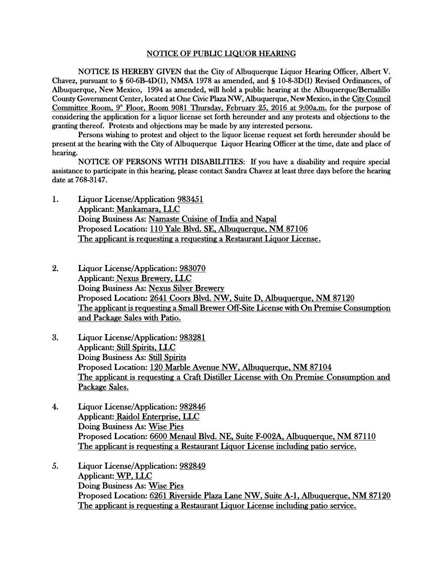## NOTICE OF PUBLIC LIQUOR HEARING

NOTICE IS HEREBY GIVEN that the City of Albuquerque Liquor Hearing Officer, Albert V. Chavez, pursuant to § 60-6B-4D(1), NMSA 1978 as amended, and § 10-8-3D(1) Revised Ordinances, of Albuquerque, New Mexico, 1994 as amended, will hold a public hearing at the Albuquerque/Bernalillo County Government Center, located at One Civic Plaza NW, Albuquerque, New Mexico, in the City Council Committee Room, 9<sup>th</sup> Floor, Room 9081 Thursday, February 25, 2016 at 9:00a.m. for the purpose of considering the application for a liquor license set forth hereunder and any protests and objections to the granting thereof. Protests and objections may be made by any interested persons.

Persons wishing to protest and object to the liquor license request set forth hereunder should be present at the hearing with the City of Albuquerque Liquor Hearing Officer at the time, date and place of hearing.

NOTICE OF PERSONS WITH DISABILITIES: If you have a disability and require special assistance to participate in this hearing, please contact Sandra Chavez at least three days before the hearing date at 768-3147.

- 1. Liquor License/Application 983451 Applicant: Mankamara, LLC Doing Business As: Namaste Cuisine of India and Napal Proposed Location: 110 Yale Blvd. SE, Albuquerque, NM 87106 The applicant is requesting a requesting a Restaurant Liquor License.
- 2. Liquor License/Application: 983070 Applicant: Nexus Brewery, LLC Doing Business As: Nexus Silver Brewery Proposed Location: 2641 Coors Blvd. NW, Suite D, Albuquerque, NM 87120 The applicant is requesting a Small Brewer Off-Site License with On Premise Consumption and Package Sales with Patio.
- 3. Liquor License/Application: 983281 Applicant: Still Spirits, LLC Doing Business As: Still Spirits Proposed Location: 120 Marble Avenue NW, Albuquerque, NM 87104 The applicant is requesting a Craft Distiller License with On Premise Consumption and Package Sales.
- 4. Liquor License/Application: 982846 Applicant: Raidol Enterprise, LLC Doing Business As: Wise Pies Proposed Location: 6600 Menaul Blvd. NE, Suite F-002A, Albuquerque, NM 87110 The applicant is requesting a Restaurant Liquor License including patio service.
- 5. Liquor License/Application: 982849 Applicant: WP, LLC Doing Business As: Wise Pies Proposed Location: 6261 Riverside Plaza Lane NW, Suite A-1, Albuquerque, NM 87120 The applicant is requesting a Restaurant Liquor License including patio service.